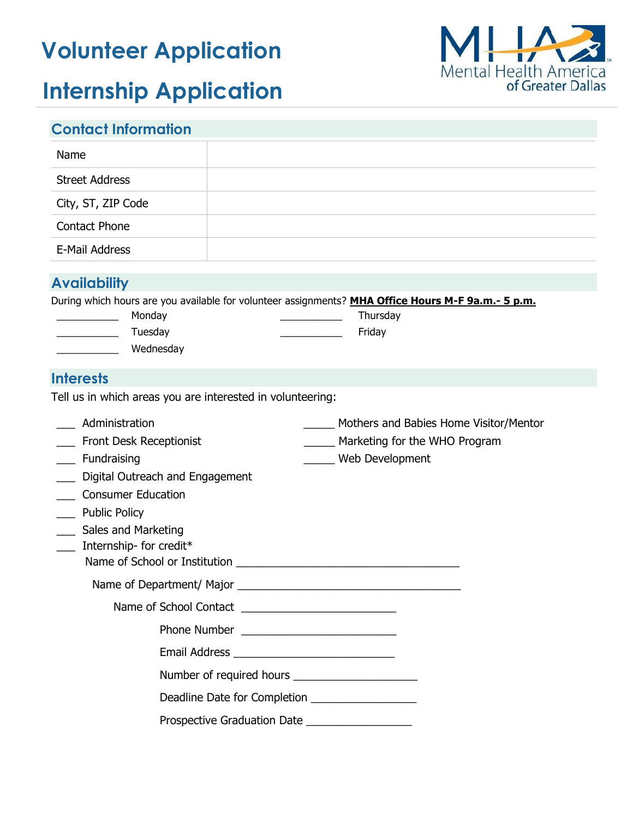# **Volunteer Application**



# **Internship Application**

| <b>Contact Information</b>                                                                                                                                                                            |                                                                                                                             |  |
|-------------------------------------------------------------------------------------------------------------------------------------------------------------------------------------------------------|-----------------------------------------------------------------------------------------------------------------------------|--|
| Name                                                                                                                                                                                                  |                                                                                                                             |  |
| <b>Street Address</b>                                                                                                                                                                                 |                                                                                                                             |  |
| City, ST, ZIP Code                                                                                                                                                                                    |                                                                                                                             |  |
| <b>Contact Phone</b>                                                                                                                                                                                  |                                                                                                                             |  |
| E-Mail Address                                                                                                                                                                                        |                                                                                                                             |  |
| <b>Availability</b>                                                                                                                                                                                   |                                                                                                                             |  |
| Monday<br><u> 1990 - Johann Barbara, martin a</u><br>Tuesday<br>Wednesday<br><b>Interests</b>                                                                                                         | During which hours are you available for volunteer assignments? MHA Office Hours M-F 9a.m.- 5 p.m.<br>Thursday<br>Friday    |  |
| Tell us in which areas you are interested in volunteering:                                                                                                                                            |                                                                                                                             |  |
| Administration<br>Front Desk Receptionist<br>__ Fundraising<br>Digital Outreach and Engagement<br><b>Consumer Education</b><br><b>Public Policy</b><br>Sales and Marketing<br>Internship- for credit* | Mothers and Babies Home Visitor/Mentor<br>Marketing for the WHO Program<br>Web Development<br>Name of School or Institution |  |
|                                                                                                                                                                                                       |                                                                                                                             |  |
|                                                                                                                                                                                                       |                                                                                                                             |  |
|                                                                                                                                                                                                       |                                                                                                                             |  |
|                                                                                                                                                                                                       |                                                                                                                             |  |
|                                                                                                                                                                                                       |                                                                                                                             |  |
|                                                                                                                                                                                                       | Deadline Date for Completion __________________                                                                             |  |
|                                                                                                                                                                                                       | Prospective Graduation Date ______________________                                                                          |  |